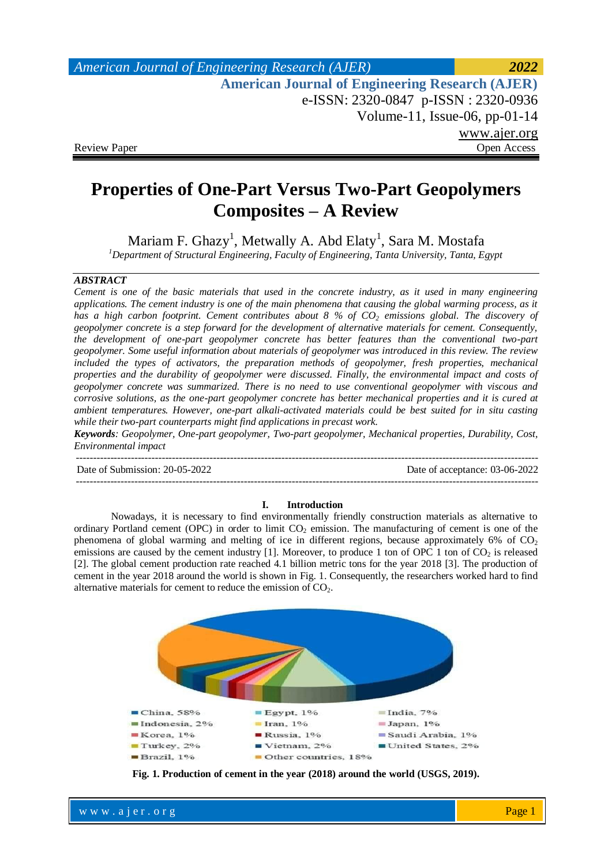# *American Journal of Engineering Research (AJER) 2022*  **American Journal of Engineering Research (AJER)** e-ISSN: 2320-0847 p-ISSN : 2320-0936 Volume-11, Issue-06, pp-01-14 www.ajer.org Review Paper **Open Access** Open Access **Open Access**

# **Properties of One-Part Versus Two-Part Geopolymers Composites – A Review**

Mariam F. Ghazy $^1$ , Metwally A. Abd Elaty $^1$ , Sara M. Mostafa *<sup>1</sup>Department of Structural Engineering, Faculty of Engineering, Tanta University, Tanta, Egypt* 

## *ABSTRACT*

*Cement is one of the basic materials that used in the concrete industry, as it used in many engineering applications. The cement industry is one of the main phenomena that causing the global warming process, as it has a high carbon footprint. Cement contributes about 8 % of CO<sup>2</sup> emissions global. The discovery of geopolymer concrete is a step forward for the development of alternative materials for cement. Consequently, the development of one-part geopolymer concrete has better features than the conventional two-part geopolymer. Some useful information about materials of geopolymer was introduced in this review. The review included the types of activators, the preparation methods of geopolymer, fresh properties, mechanical properties and the durability of geopolymer were discussed. Finally, the environmental impact and costs of geopolymer concrete was summarized. There is no need to use conventional geopolymer with viscous and corrosive solutions, as the one-part geopolymer concrete has better mechanical properties and it is cured at ambient temperatures. However, one-part alkali-activated materials could be best suited for in situ casting while their two-part counterparts might find applications in precast work.*

*Keywords: Geopolymer, One-part geopolymer, Two-part geopolymer, Mechanical properties, Durability, Cost, Environmental impact*

--------------------------------------------------------------------------------------------------------------------------------------- Date of Submission: 20-05-2022 Date of acceptance: 03-06-2022 ---------------------------------------------------------------------------------------------------------------------------------------

#### **I. Introduction**

Nowadays, it is necessary to find environmentally friendly construction materials as alternative to ordinary Portland cement (OPC) in order to limit CO<sub>2</sub> emission. The manufacturing of cement is one of the phenomena of global warming and melting of ice in different regions, because approximately 6% of  $CO<sub>2</sub>$ emissions are caused by the cement industry  $[1]$ . Moreover, to produce 1 ton of OPC 1 ton of  $CO<sub>2</sub>$  is released [2]. The global cement production rate reached 4.1 billion metric tons for the year 2018 [3]. The production of cement in the year 2018 around the world is shown in Fig. 1. Consequently, the researchers worked hard to find alternative materials for cement to reduce the emission of  $CO<sub>2</sub>$ .



**Fig. 1. Production of cement in the year (2018) around the world (USGS, 2019).**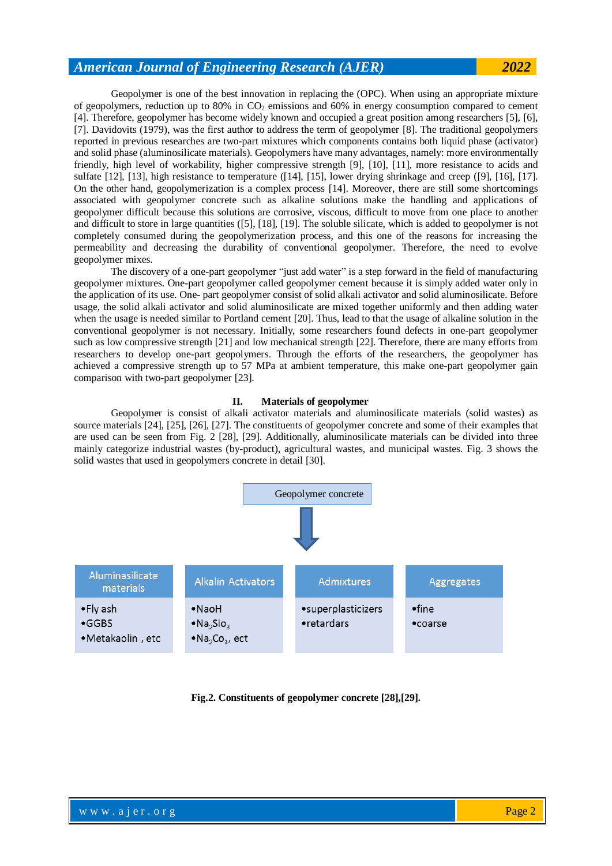Geopolymer is one of the best innovation in replacing the (OPC). When using an appropriate mixture of geopolymers, reduction up to 80% in CO<sup>2</sup> emissions and 60% in energy consumption compared to cement [4]. Therefore, geopolymer has become widely known and occupied a great position among researchers [5], [6], [7]. Davidovits (1979), was the first author to address the term of geopolymer [8]. The traditional geopolymers reported in previous researches are two-part mixtures which components contains both liquid phase (activator) and solid phase (aluminosilicate materials). Geopolymers have many advantages, namely: more environmentally friendly, high level of workability, higher compressive strength [9], [10], [11], more resistance to acids and sulfate [12], [13], high resistance to temperature ([14], [15], lower drying shrinkage and creep ([9], [16], [17]. On the other hand, geopolymerization is a complex process [14]. Moreover, there are still some shortcomings associated with geopolymer concrete such as alkaline solutions make the handling and applications of geopolymer difficult because this solutions are corrosive, viscous, difficult to move from one place to another and difficult to store in large quantities ([5], [18], [19]. The soluble silicate, which is added to geopolymer is not completely consumed during the geopolymerization process, and this one of the reasons for increasing the permeability and decreasing the durability of conventional geopolymer. Therefore, the need to evolve geopolymer mixes.

The discovery of a one-part geopolymer "just add water" is a step forward in the field of manufacturing geopolymer mixtures. One-part geopolymer called geopolymer cement because it is simply added water only in the application of its use. One- part geopolymer consist of solid alkali activator and solid aluminosilicate. Before usage, the solid alkali activator and solid aluminosilicate are mixed together uniformly and then adding water when the usage is needed similar to Portland cement [20]. Thus, lead to that the usage of alkaline solution in the conventional geopolymer is not necessary. Initially, some researchers found defects in one-part geopolymer such as low compressive strength [21] and low mechanical strength [22]. Therefore, there are many efforts from researchers to develop one-part geopolymers. Through the efforts of the researchers, the geopolymer has achieved a compressive strength up to 57 MPa at ambient temperature, this make one-part geopolymer gain comparison with two-part geopolymer [23].

## **II. Materials of geopolymer**

Geopolymer is consist of alkali activator materials and aluminosilicate materials (solid wastes) as source materials [24], [25], [26], [27]. The constituents of geopolymer concrete and some of their examples that are used can be seen from Fig. 2 [28], [29]. Additionally, aluminosilicate materials can be divided into three mainly categorize industrial wastes (by-product), agricultural wastes, and municipal wastes. Fig. 3 shows the solid wastes that used in geopolymers concrete in detail [30].



**Fig.2. Constituents of geopolymer concrete [28],[29].**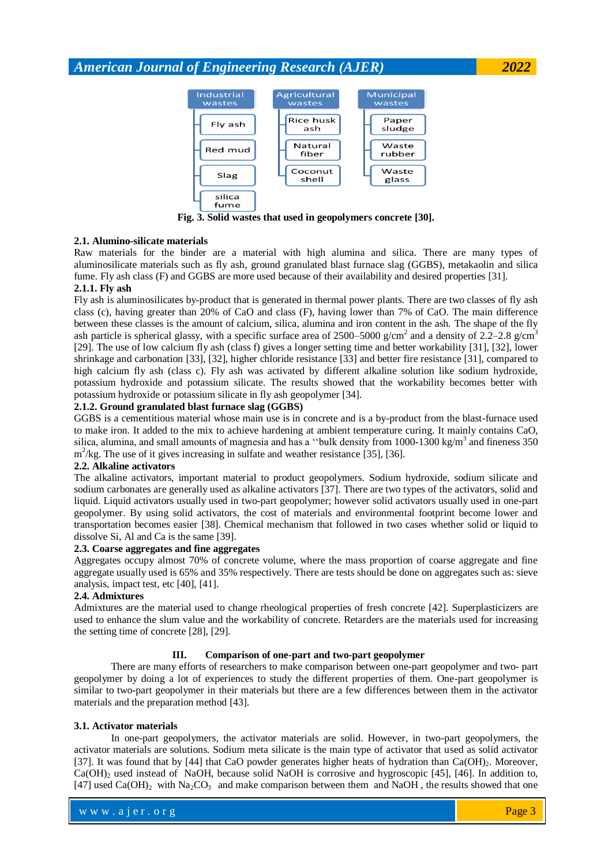

**Fig. 3. Solid wastes that used in geopolymers concrete [30].**

## **2.1. Alumino-silicate materials**

Raw materials for the binder are a material with high alumina and silica. There are many types of aluminosilicate materials such as fly ash, ground granulated blast furnace slag (GGBS), metakaolin and silica fume. Fly ash class (F) and GGBS are more used because of their availability and desired properties [31].

## **2.1.1. Fly ash**

Fly ash is aluminosilicates by-product that is generated in thermal power plants. There are two classes of fly ash class (c), having greater than 20% of CaO and class (F), having lower than 7% of CaO. The main difference between these classes is the amount of calcium, silica, alumina and iron content in the ash. The shape of the fly ash particle is spherical glassy, with a specific surface area of 2500–5000 g/cm<sup>2</sup> and a density of 2.2–2.8 g/cm<sup>3</sup> [29]. The use of low calcium fly ash (class f) gives a longer setting time and better workability [31], [32], lower shrinkage and carbonation [33], [32], higher chloride resistance [33] and better fire resistance [31], compared to high calcium fly ash (class c). Fly ash was activated by different alkaline solution like sodium hydroxide, potassium hydroxide and potassium silicate. The results showed that the workability becomes better with potassium hydroxide or potassium silicate in fly ash geopolymer [34].

## **2.1.2. Ground granulated blast furnace slag (GGBS)**

GGBS is a cementitious material whose main use is in concrete and is a by-product from the blast-furnace used to make iron. It added to the mix to achieve hardening at ambient temperature curing. It mainly contains CaO, silica, alumina, and small amounts of magnesia and has a "bulk density from 1000-1300 kg/m<sup>3</sup> and fineness 350 m<sup>2</sup>/kg. The use of it gives increasing in sulfate and weather resistance [35], [36].

## **2.2. Alkaline activators**

The alkaline activators, important material to product geopolymers. Sodium hydroxide, sodium silicate and sodium carbonates are generally used as alkaline activators [37]. There are two types of the activators, solid and liquid. Liquid activators usually used in two-part geopolymer; however solid activators usually used in one-part geopolymer. By using solid activators, the cost of materials and environmental footprint become lower and transportation becomes easier [38]. Chemical mechanism that followed in two cases whether solid or liquid to dissolve Si, Al and Ca is the same [39].

## **2.3. Coarse aggregates and fine aggregates**

Aggregates occupy almost 70% of concrete volume, where the mass proportion of coarse aggregate and fine aggregate usually used is 65% and 35% respectively. There are tests should be done on aggregates such as: sieve analysis, impact test, etc [40], [41].

## **2.4. Admixtures**

Admixtures are the material used to change rheological properties of fresh concrete [42]. Superplasticizers are used to enhance the slum value and the workability of concrete. Retarders are the materials used for increasing the setting time of concrete [28], [29].

## **III. Comparison of one-part and two-part geopolymer**

There are many efforts of researchers to make comparison between one-part geopolymer and two- part geopolymer by doing a lot of experiences to study the different properties of them. One-part geopolymer is similar to two-part geopolymer in their materials but there are a few differences between them in the activator materials and the preparation method [43].

## **3.1. Activator materials**

In one-part geopolymers, the activator materials are solid. However, in two-part geopolymers, the activator materials are solutions. Sodium meta silicate is the main type of activator that used as solid activator [37]. It was found that by [44] that CaO powder generates higher heats of hydration than  $Ca(OH)_{2}$ . Moreover,  $Ca(OH)$ <sub>2</sub> used instead of NaOH, because solid NaOH is corrosive and hygroscopic [45], [46]. In addition to, [47] used Ca(OH)<sub>2</sub> with Na<sub>2</sub>CO<sub>3</sub> and make comparison between them and NaOH, the results showed that one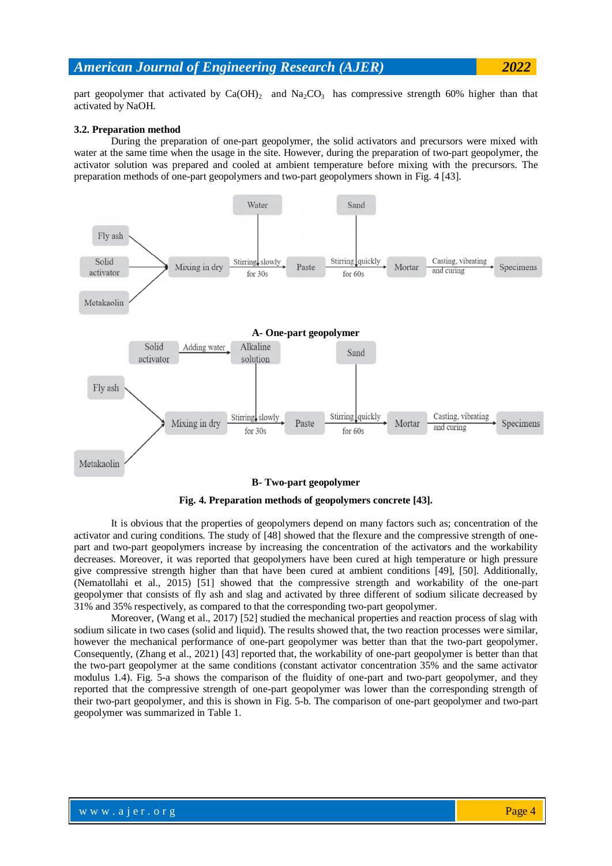part geopolymer that activated by  $Ca(OH)_2$  and  $Na_2CO_3$  has compressive strength 60% higher than that activated by NaOH.

#### **3.2. Preparation method**

During the preparation of one-part geopolymer, the solid activators and precursors were mixed with water at the same time when the usage in the site. However, during the preparation of two-part geopolymer, the activator solution was prepared and cooled at ambient temperature before mixing with the precursors. The preparation methods of one-part geopolymers and two-part geopolymers shown in Fig. 4 [43].



#### **B- Two-part geopolymer**



It is obvious that the properties of geopolymers depend on many factors such as; concentration of the activator and curing conditions. The study of [48] showed that the flexure and the compressive strength of onepart and two-part geopolymers increase by increasing the concentration of the activators and the workability decreases. Moreover, it was reported that geopolymers have been cured at high temperature or high pressure give compressive strength higher than that have been cured at ambient conditions [49], [50]. Additionally, (Nematollahi et al., 2015) [51] showed that the compressive strength and workability of the one-part geopolymer that consists of fly ash and slag and activated by three different of sodium silicate decreased by 31% and 35% respectively, as compared to that the corresponding two-part geopolymer.

Moreover, (Wang et al., 2017) [52] studied the mechanical properties and reaction process of slag with sodium silicate in two cases (solid and liquid). The results showed that, the two reaction processes were similar, however the mechanical performance of one-part geopolymer was better than that the two-part geopolymer. Consequently, (Zhang et al., 2021) [43] reported that, the workability of one-part geopolymer is better than that the two-part geopolymer at the same conditions (constant activator concentration 35% and the same activator modulus 1.4). Fig. 5-a shows the comparison of the fluidity of one-part and two-part geopolymer, and they reported that the compressive strength of one-part geopolymer was lower than the corresponding strength of their two-part geopolymer, and this is shown in Fig. 5-b. The comparison of one-part geopolymer and two-part geopolymer was summarized in Table 1.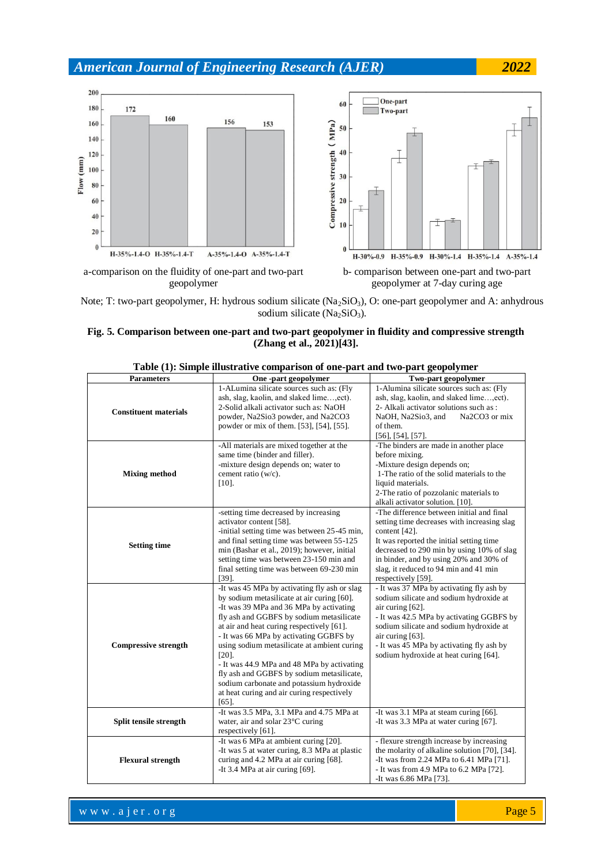

Note; T: two-part geopolymer, H: hydrous sodium silicate (Na<sub>2</sub>SiO<sub>3</sub>), O: one-part geopolymer and A: anhydrous sodium silicate  $(Na<sub>2</sub>SiO<sub>3</sub>)$ .

## **Fig. 5. Comparison between one-part and two-part geopolymer in fluidity and compressive strength (Zhang et al., 2021)[43].**

| <b>Parameters</b>            | One-part geopolymer                                                                                                                                                                                                                                                                                                                                                                                                                                                                                                                  | Two-part geopolymer                                                                                                                                                                                                                                                                                         |  |
|------------------------------|--------------------------------------------------------------------------------------------------------------------------------------------------------------------------------------------------------------------------------------------------------------------------------------------------------------------------------------------------------------------------------------------------------------------------------------------------------------------------------------------------------------------------------------|-------------------------------------------------------------------------------------------------------------------------------------------------------------------------------------------------------------------------------------------------------------------------------------------------------------|--|
| <b>Constituent materials</b> | 1-ALumina silicate sources such as: (Fly<br>ash, slag, kaolin, and slaked lime, ect).<br>2-Solid alkali activator such as: NaOH<br>powder, Na2Sio3 powder, and Na2CO3<br>powder or mix of them. [53], [54], [55].                                                                                                                                                                                                                                                                                                                    | 1-Alumina silicate sources such as: (Fly<br>ash, slag, kaolin, and slaked lime,ect).<br>2- Alkali activator solutions such as :<br>Na2CO3 or mix<br>NaOH, Na2Sio3, and<br>of them.<br>$[56]$ , $[54]$ , $[57]$ .                                                                                            |  |
| <b>Mixing method</b>         | -All materials are mixed together at the<br>same time (binder and filler).<br>-mixture design depends on; water to<br>cement ratio (w/c).<br>$[10]$ .                                                                                                                                                                                                                                                                                                                                                                                | -The binders are made in another place<br>before mixing.<br>-Mixture design depends on;<br>1-The ratio of the solid materials to the<br>liquid materials.<br>2-The ratio of pozzolanic materials to<br>alkali activator solution. [10].                                                                     |  |
| <b>Setting time</b>          | -setting time decreased by increasing<br>activator content [58].<br>-initial setting time was between 25-45 min,<br>and final setting time was between 55-125<br>min (Bashar et al., 2019); however, initial<br>setting time was between 23-150 min and<br>final setting time was between 69-230 min<br>$[39]$ .                                                                                                                                                                                                                     | -The difference between initial and final<br>setting time decreases with increasing slag<br>content [42].<br>It was reported the initial setting time<br>decreased to 290 min by using 10% of slag<br>in binder, and by using 20% and 30% of<br>slag, it reduced to 94 min and 41 min<br>respectively [59]. |  |
| <b>Compressive strength</b>  | -It was 45 MPa by activating fly ash or slag<br>by sodium metasilicate at air curing [60].<br>-It was 39 MPa and 36 MPa by activating<br>fly ash and GGBFS by sodium metasilicate<br>at air and heat curing respectively [61].<br>- It was 66 MPa by activating GGBFS by<br>using sodium metasilicate at ambient curing<br>$[20]$ .<br>- It was 44.9 MPa and 48 MPa by activating<br>fly ash and GGBFS by sodium metasilicate,<br>sodium carbonate and potassium hydroxide<br>at heat curing and air curing respectively<br>$[65]$ . | - It was 37 MPa by activating fly ash by<br>sodium silicate and sodium hydroxide at<br>air curing [62].<br>- It was 42.5 MPa by activating GGBFS by<br>sodium silicate and sodium hydroxide at<br>air curing [63].<br>- It was 45 MPa by activating fly ash by<br>sodium hydroxide at heat curing [64].     |  |
| Split tensile strength       | -It was 3.5 MPa, 3.1 MPa and 4.75 MPa at<br>water, air and solar 23°C curing<br>respectively [61].                                                                                                                                                                                                                                                                                                                                                                                                                                   | -It was 3.1 MPa at steam curing [66].<br>-It was 3.3 MPa at water curing [67].                                                                                                                                                                                                                              |  |
| <b>Flexural strength</b>     | -It was 6 MPa at ambient curing [20].<br>-It was 5 at water curing, 8.3 MPa at plastic<br>curing and 4.2 MPa at air curing [68].<br>-It 3.4 MPa at air curing [69].                                                                                                                                                                                                                                                                                                                                                                  | - flexure strength increase by increasing<br>the molarity of alkaline solution [70], [34].<br>-It was from 2.24 MPa to 6.41 MPa [71].<br>- It was from 4.9 MPa to 6.2 MPa [72].<br>-It was 6.86 MPa [73].                                                                                                   |  |

**Table (1): Simple illustrative comparison of one-part and two-part geopolymer**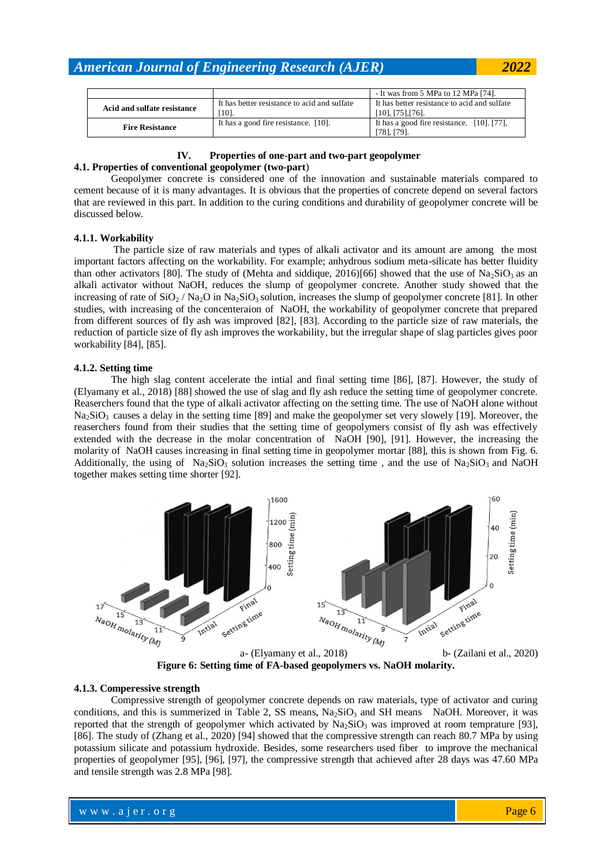|                             |                                                      | - It was from 5 MPa to 12 MPa [74].                               |  |
|-----------------------------|------------------------------------------------------|-------------------------------------------------------------------|--|
| Acid and sulfate resistance | It has better resistance to acid and sulfate<br>101. | It has better resistance to acid and sulfate<br>[10], [75], [76]. |  |
| <b>Fire Resistance</b>      | It has a good fire resistance. [10].                 | It has a good fire resistance. [10]. [77],<br>$[78]$ , $[79]$ .   |  |

## **IV. Properties of one-part and two-part geopolymer**

## **4.1. Properties of conventional geopolymer (two-part**)

Geopolymer concrete is considered one of the innovation and sustainable materials compared to cement because of it is many advantages. It is obvious that the properties of concrete depend on several factors that are reviewed in this part. In addition to the curing conditions and durability of geopolymer concrete will be discussed below.

## **4.1.1. Workability**

The particle size of raw materials and types of alkali activator and its amount are among the most important factors affecting on the workability. For example; anhydrous sodium meta-silicate has better fluidity than other activators [80]. The study of (Mehta and siddique, 2016)[66] showed that the use of  $Na<sub>2</sub>SiO<sub>3</sub>$  as an alkali activator without NaOH, reduces the slump of geopolymer concrete. Another study showed that the increasing of rate of  $SiO_2 / Na_2O$  in Na<sub>2</sub>SiO<sub>3</sub> solution, increases the slump of geopolymer concrete [81]. In other studies, with increasing of the concenteraion of NaOH, the workability of geopolymer concrete that prepared from different sources of fly ash was improved [82], [83]. According to the particle size of raw materials, the reduction of particle size of fly ash improves the workability, but the irregular shape of slag particles gives poor workability [84], [85].

## **4.1.2. Setting time**

The high slag content accelerate the intial and final setting time [86], [87]. However, the study of (Elyamany et al., 2018) [88] showed the use of slag and fly ash reduce the setting time of geopolymer concrete. Reaserchers found that the type of alkali activator affecting on the setting time. The use of NaOH alone without  $Na<sub>2</sub>SiO<sub>3</sub>$  causes a delay in the setting time [89] and make the geopolymer set very slowely [19]. Moreover, the reaserchers found from their studies that the setting time of geopolymers consist of fly ash was effectively extended with the decrease in the molar concentration of NaOH [90], [91]. However, the increasing the molarity of NaOH causes increasing in final setting time in geopolymer mortar [88], this is shown from Fig. 6. Additionally, the using of  $Na_2SiO_3$  solution increases the setting time, and the use of  $Na_2SiO_3$  and NaOH together makes setting time shorter [92].



**Figure 6: Setting time of FA-based geopolymers vs. NaOH molarity.**

## **4.1.3. Comperessive strength**

Compressive strength of geopolymer concrete depends on raw materials, type of activator and curing conditions, and this is summerized in Table 2, SS means,  $Na<sub>2</sub>SiO<sub>3</sub>$  and SH means NaOH. Moreover, it was reported that the strength of geopolymer which activated by  $Na<sub>2</sub>SiO<sub>3</sub>$  was improved at room temprature [93], [86]. The study of (Zhang et al., 2020) [94] showed that the compressive strength can reach 80.7 MPa by using potassium silicate and potassium hydroxide. Besides, some researchers used fiber to improve the mechanical properties of geopolymer [95], [96], [97], the compressive strength that achieved after 28 days was 47.60 MPa and tensile strength was 2.8 MPa [98].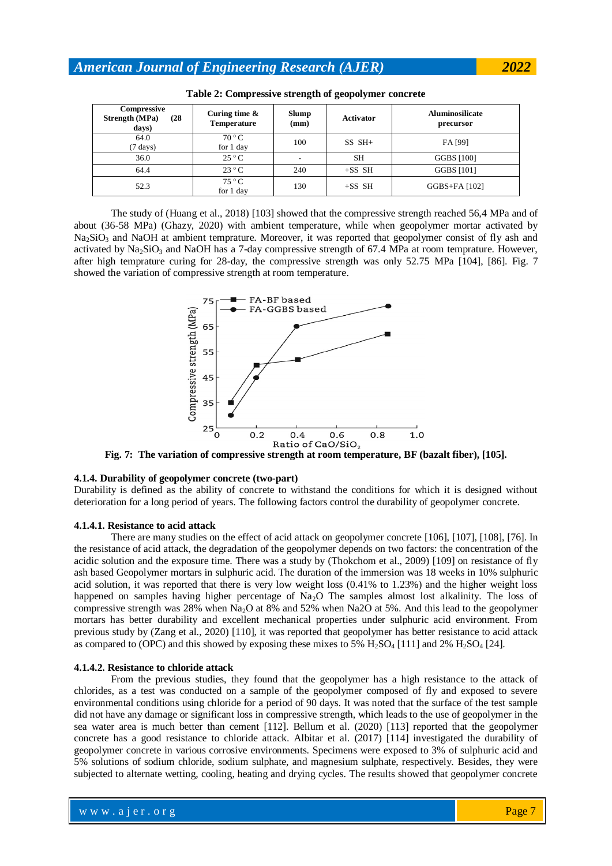| Compressive<br>Strength (MPa)<br>(28)<br>days) | Curing time $\&$<br>Temperature | Slump<br>(mm) | Activator | <b>Aluminosilicate</b><br>precursor |
|------------------------------------------------|---------------------------------|---------------|-----------|-------------------------------------|
| 64.0<br>$(7 \text{ days})$                     | $70^{\circ}$ C<br>for 1 day     | 100           | $SS SH+$  | FA [99]                             |
| 36.0                                           | $25^{\circ}$ C                  |               | <b>SH</b> | GGBS [100]                          |
| 64.4                                           | $23^{\circ}$ C                  | 240           | $+SS$ SH  | GGBS [101]                          |
| 52.3                                           | 75 °C<br>for 1 day              | 130           | $+SS$ SH  | GGBS+FA [102]                       |

| Table 2: Compressive strength of geopolymer concrete |  |
|------------------------------------------------------|--|
|------------------------------------------------------|--|

The study of (Huang et al., 2018) [103] showed that the compressive strength reached 56,4 MPa and of about (36-58 MPa) (Ghazy, 2020) with ambient temperature, while when geopolymer mortar activated by Na<sub>2</sub>SiO<sub>3</sub> and NaOH at ambient temprature. Moreover, it was reported that geopolymer consist of fly ash and activated by  $Na<sub>2</sub>SiO<sub>3</sub>$  and NaOH has a 7-day compressive strength of 67.4 MPa at room temprature. However, after high temprature curing for 28-day, the compressive strength was only 52.75 MPa [104], [86]. Fig. 7 showed the variation of compressive strength at room temperature.



**Fig. 7: The variation of compressive strength at room temperature, BF (bazalt fiber), [105].**

#### **4.1.4. Durability of geopolymer concrete (two-part)**

Durability is defined as the ability of concrete to withstand the conditions for which it is designed without deterioration for a long period of years. The following factors control the durability of geopolymer concrete.

#### **4.1.4.1. Resistance to acid attack**

There are many studies on the effect of acid attack on geopolymer concrete [106], [107], [108], [76]. In the resistance of acid attack, the degradation of the geopolymer depends on two factors: the concentration of the acidic solution and the exposure time. There was a study by (Thokchom et al., 2009) [109] on resistance of fly ash based Geopolymer mortars in sulphuric acid. The duration of the immersion was 18 weeks in 10% sulphuric acid solution, it was reported that there is very low weight loss (0.41% to 1.23%) and the higher weight loss happened on samples having higher percentage of Na<sub>2</sub>O The samples almost lost alkalinity. The loss of compressive strength was 28% when Na2O at 8% and 52% when Na2O at 5%. And this lead to the geopolymer mortars has better durability and excellent mechanical properties under sulphuric acid environment. From previous study by (Zang et al., 2020) [110], it was reported that geopolymer has better resistance to acid attack as compared to (OPC) and this showed by exposing these mixes to  $5\%$  H<sub>2</sub>SO<sub>4</sub> [111] and  $2\%$  H<sub>2</sub>SO<sub>4</sub> [24].

## **4.1.4.2. Resistance to chloride attack**

From the previous studies, they found that the geopolymer has a high resistance to the attack of chlorides, as a test was conducted on a sample of the geopolymer composed of fly and exposed to severe environmental conditions using chloride for a period of 90 days. It was noted that the surface of the test sample did not have any damage or significant loss in compressive strength, which leads to the use of geopolymer in the sea water area is much better than cement [112]. Bellum et al. (2020) [113] reported that the geopolymer concrete has a good resistance to chloride attack. Albitar et al. (2017) [114] investigated the durability of geopolymer concrete in various corrosive environments. Specimens were exposed to 3% of sulphuric acid and 5% solutions of sodium chloride, sodium sulphate, and magnesium sulphate, respectively. Besides, they were subjected to alternate wetting, cooling, heating and drying cycles. The results showed that geopolymer concrete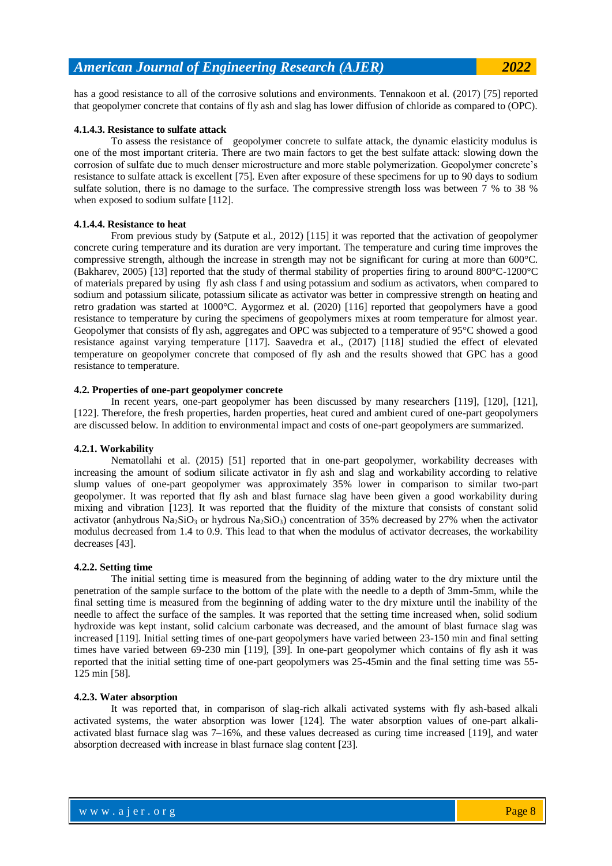has a good resistance to all of the corrosive solutions and environments. Tennakoon et al. (2017) [75] reported that geopolymer concrete that contains of fly ash and slag has lower diffusion of chloride as compared to (OPC).

## **4.1.4.3. Resistance to sulfate attack**

To assess the resistance of geopolymer concrete to sulfate attack, the dynamic elasticity modulus is one of the most important criteria. There are two main factors to get the best sulfate attack: slowing down the corrosion of sulfate due to much denser microstructure and more stable polymerization. Geopolymer concrete's resistance to sulfate attack is excellent [75]. Even after exposure of these specimens for up to 90 days to sodium sulfate solution, there is no damage to the surface. The compressive strength loss was between 7 % to 38 % when exposed to sodium sulfate [112].

#### **4.1.4.4. Resistance to heat**

From previous study by (Satpute et al., 2012) [115] it was reported that the activation of geopolymer concrete curing temperature and its duration are very important. The temperature and curing time improves the compressive strength, although the increase in strength may not be significant for curing at more than 600°C. (Bakharev, 2005) [13] reported that the study of thermal stability of properties firing to around 800°C-1200°C of materials prepared by using fly ash class f and using potassium and sodium as activators, when compared to sodium and potassium silicate, potassium silicate as activator was better in compressive strength on heating and retro gradation was started at 1000°C. Aygormez et al. (2020) [116] reported that geopolymers have a good resistance to temperature by curing the specimens of geopolymers mixes at room temperature for almost year. Geopolymer that consists of fly ash, aggregates and OPC was subjected to a temperature of 95°C showed a good resistance against varying temperature [117]. Saavedra et al., (2017) [118] studied the effect of elevated temperature on geopolymer concrete that composed of fly ash and the results showed that GPC has a good resistance to temperature.

## **4.2. Properties of one-part geopolymer concrete**

In recent years, one-part geopolymer has been discussed by many researchers [119], [120], [121], [122]. Therefore, the fresh properties, harden properties, heat cured and ambient cured of one-part geopolymers are discussed below. In addition to environmental impact and costs of one-part geopolymers are summarized.

## **4.2.1. Workability**

Nematollahi et al. (2015) [51] reported that in one-part geopolymer, workability decreases with increasing the amount of sodium silicate activator in fly ash and slag and workability according to relative slump values of one-part geopolymer was approximately 35% lower in comparison to similar two-part geopolymer. It was reported that fly ash and blast furnace slag have been given a good workability during mixing and vibration [123]. It was reported that the fluidity of the mixture that consists of constant solid activator (anhydrous Na<sub>2</sub>SiO<sub>3</sub> or hydrous Na<sub>2</sub>SiO<sub>3</sub>) concentration of 35% decreased by 27% when the activator modulus decreased from 1.4 to 0.9. This lead to that when the modulus of activator decreases, the workability decreases [43].

## **4.2.2. Setting time**

The initial setting time is measured from the beginning of adding water to the dry mixture until the penetration of the sample surface to the bottom of the plate with the needle to a depth of 3mm-5mm, while the final setting time is measured from the beginning of adding water to the dry mixture until the inability of the needle to affect the surface of the samples. It was reported that the setting time increased when, solid sodium hydroxide was kept instant, solid calcium carbonate was decreased, and the amount of blast furnace slag was increased [119]. Initial setting times of one-part geopolymers have varied between 23-150 min and final setting times have varied between 69-230 min [119], [39]. In one-part geopolymer which contains of fly ash it was reported that the initial setting time of one-part geopolymers was 25-45min and the final setting time was 55- 125 min [58].

#### **4.2.3. Water absorption**

It was reported that, in comparison of slag-rich alkali activated systems with fly ash-based alkali activated systems, the water absorption was lower [124]. The water absorption values of one-part alkaliactivated blast furnace slag was 7–16%, and these values decreased as curing time increased [119], and water absorption decreased with increase in blast furnace slag content [23].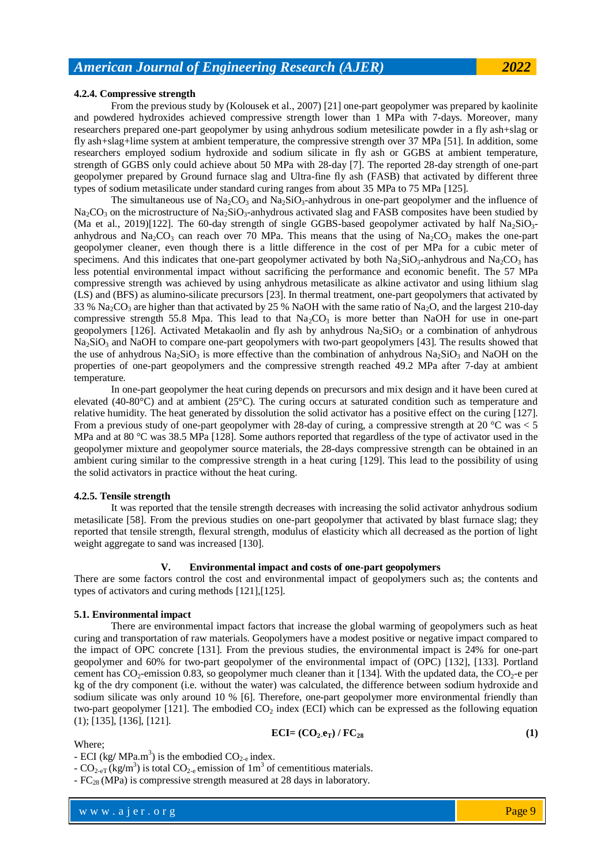## **4.2.4. Compressive strength**

From the previous study by (Kolousek et al., 2007) [21] one-part geopolymer was prepared by kaolinite and powdered hydroxides achieved compressive strength lower than 1 MPa with 7-days. Moreover, many researchers prepared one-part geopolymer by using anhydrous sodium metesilicate powder in a fly ash+slag or fly ash+slag+lime system at ambient temperature, the compressive strength over 37 MPa [51]. In addition, some researchers employed sodium hydroxide and sodium silicate in fly ash or GGBS at ambient temperature, strength of GGBS only could achieve about 50 MPa with 28-day [7]. The reported 28-day strength of one-part geopolymer prepared by Ground furnace slag and Ultra-fine fly ash (FASB) that activated by different three types of sodium metasilicate under standard curing ranges from about 35 MPa to 75 MPa [125].

The simultaneous use of  $\text{Na}_2\text{CO}_3$  and  $\text{Na}_2\text{SiO}_3$ -anhydrous in one-part geopolymer and the influence of  $Na_2CO_3$  on the microstructure of Na<sub>2</sub>SiO<sub>3</sub>-anhydrous activated slag and FASB composites have been studied by (Ma et al., 2019)[122]. The 60-day strength of single GGBS-based geopolymer activated by half  $Na_2SiO_3$ anhydrous and Na<sub>2</sub>CO<sub>3</sub> can reach over 70 MPa. This means that the using of Na<sub>2</sub>CO<sub>3</sub> makes the one-part geopolymer cleaner, even though there is a little difference in the cost of per MPa for a cubic meter of specimens. And this indicates that one-part geopolymer activated by both  $Na_2SiO_3$ -anhydrous and  $Na_2CO_3$  has less potential environmental impact without sacrificing the performance and economic benefit. The 57 MPa compressive strength was achieved by using anhydrous metasilicate as alkine activator and using lithium slag (LS) and (BFS) as alumino-silicate precursors [23]. In thermal treatment, one-part geopolymers that activated by 33 %  $\text{Na}_2\text{CO}_3$  are higher than that activated by 25 % NaOH with the same ratio of Na<sub>2</sub>O, and the largest 210-day compressive strength 55.8 Mpa. This lead to that  $Na<sub>2</sub>CO<sub>3</sub>$  is more better than NaOH for use in one-part geopolymers [126]. Activated Metakaolin and fly ash by anhydrous  $Na<sub>2</sub>SiO<sub>3</sub>$  or a combination of anhydrous Na<sub>2</sub>SiO<sub>3</sub> and NaOH to compare one-part geopolymers with two-part geopolymers [43]. The results showed that the use of anhydrous  $Na_2SiO_3$  is more effective than the combination of anhydrous  $Na_2SiO_3$  and NaOH on the properties of one-part geopolymers and the compressive strength reached 49.2 MPa after 7-day at ambient temperature.

In one-part geopolymer the heat curing depends on precursors and mix design and it have been cured at elevated (40-80°C) and at ambient (25°C). The curing occurs at saturated condition such as temperature and relative humidity. The heat generated by dissolution the solid activator has a positive effect on the curing [127]. From a previous study of one-part geopolymer with 28-day of curing, a compressive strength at 20  $^{\circ}$ C was  $<$  5 MPa and at 80 °C was 38.5 MPa [128]. Some authors reported that regardless of the type of activator used in the geopolymer mixture and geopolymer source materials, the 28-days compressive strength can be obtained in an ambient curing similar to the compressive strength in a heat curing [129]. This lead to the possibility of using the solid activators in practice without the heat curing.

## **4.2.5. Tensile strength**

It was reported that the tensile strength decreases with increasing the solid activator anhydrous sodium metasilicate [58]. From the previous studies on one-part geopolymer that activated by blast furnace slag; they reported that tensile strength, flexural strength, modulus of elasticity which all decreased as the portion of light weight aggregate to sand was increased [130].

## **V. Environmental impact and costs of one-part geopolymers**

There are some factors control the cost and environmental impact of geopolymers such as; the contents and types of activators and curing methods [121],[125].

## **5.1. Environmental impact**

There are environmental impact factors that increase the global warming of geopolymers such as heat curing and transportation of raw materials. Geopolymers have a modest positive or negative impact compared to the impact of OPC concrete [131]. From the previous studies, the environmental impact is 24% for one-part geopolymer and 60% for two-part geopolymer of the environmental impact of (OPC) [132], [133]. Portland cement has  $CO_2$ -emission 0.83, so geopolymer much cleaner than it [134]. With the updated data, the  $CO_2$ -e per kg of the dry component (i.e. without the water) was calculated, the difference between sodium hydroxide and sodium silicate was only around 10 % [6]. Therefore, one-part geopolymer more environmental friendly than two-part geopolymer [121]. The embodied  $CO<sub>2</sub>$  index (ECI) which can be expressed as the following equation (1); [135], [136], [121].

$$
ECI = (CO2.eT) / FC28
$$
 (1)

where  $\mathcal{L} = \mathcal{L} \left( \mathcal{L} \right)$  is the set of  $\mathcal{L} \left( \mathcal{L} \right)$ 

## Where;

 $-$  ECI (kg/ MPa.m<sup>3</sup>) is the embodied CO<sub>2-e</sub> index.

 $-CO_{2-eT}$  (kg/m<sup>3</sup>) is total  $CO_{2-e}$  emission of 1m<sup>3</sup> of cementitious materials.

 $-FC_{28}$  (MPa) is compressive strength measured at 28 days in laboratory.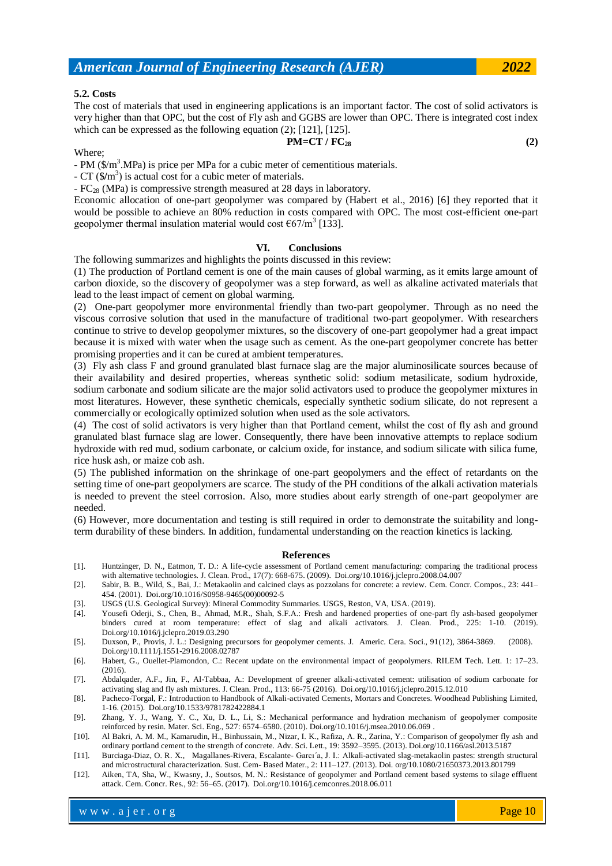## **5.2. Costs**

The cost of materials that used in engineering applications is an important factor. The cost of solid activators is very higher than that OPC, but the cost of Fly ash and GGBS are lower than OPC. There is integrated cost index which can be expressed as the following equation (2); [121], [125].

## $PM = CT / FC_{28}$  (2)

#### Where;

- PM  $(\frac{C}{M})^3$ .MPa) is price per MPa for a cubic meter of cementitious materials.

- CT (\$**/**m 3 ) is actual cost for a cubic meter of materials.

- FC<sup>28</sup> (MPa) is compressive strength measured at 28 days in laboratory.

Economic allocation of one-part geopolymer was compared by (Habert et al., 2016) [6] they reported that it would be possible to achieve an 80% reduction in costs compared with OPC. The most cost-efficient one-part geopolymer thermal insulation material would cost  $\epsilon$ 67/m<sup>3</sup> [133].

## **VI. Conclusions**

The following summarizes and highlights the points discussed in this review:

(1) The production of Portland cement is one of the main causes of global warming, as it emits large amount of carbon dioxide, so the discovery of geopolymer was a step forward, as well as alkaline activated materials that lead to the least impact of cement on global warming.

(2) One-part geopolymer more environmental friendly than two-part geopolymer. Through as no need the viscous corrosive solution that used in the manufacture of traditional two-part geopolymer. With researchers continue to strive to develop geopolymer mixtures, so the discovery of one-part geopolymer had a great impact because it is mixed with water when the usage such as cement. As the one-part geopolymer concrete has better promising properties and it can be cured at ambient temperatures.

(3) Fly ash class F and ground granulated blast furnace slag are the major aluminosilicate sources because of their availability and desired properties, whereas synthetic solid: sodium metasilicate, sodium hydroxide, sodium carbonate and sodium silicate are the major solid activators used to produce the geopolymer mixtures in most literatures. However, these synthetic chemicals, especially synthetic sodium silicate, do not represent a commercially or ecologically optimized solution when used as the sole activators.

(4) The cost of solid activators is very higher than that Portland cement, whilst the cost of fly ash and ground granulated blast furnace slag are lower. Consequently, there have been innovative attempts to replace sodium hydroxide with red mud, sodium carbonate, or calcium oxide, for instance, and sodium silicate with silica fume, rice husk ash, or maize cob ash.

(5) The published information on the shrinkage of one-part geopolymers and the effect of retardants on the setting time of one-part geopolymers are scarce. The study of the PH conditions of the alkali activation materials is needed to prevent the steel corrosion. Also, more studies about early strength of one-part geopolymer are needed.

(6) However, more documentation and testing is still required in order to demonstrate the suitability and longterm durability of these binders. In addition, fundamental understanding on the reaction kinetics is lacking.

#### **References**

- [1]. Huntzinger, D. N., Eatmon, T. D.: A life-cycle assessment of Portland cement manufacturing: comparing the traditional process with alternative technologies. J. Clean. Prod., 17(7): 668-675. (2009). [Doi.org/10.1016/j.jclepro.2008.04.007](https://doi.org/10.1016/j.jclepro.2008.04.007)
- [2]. Sabir, B. B., Wild, S., Bai, J.: Metakaolin and calcined clays as pozzolans for concrete: a review. Cem. Concr. Compos., 23: 441– 454. (2001). [Doi.org/10.1016/S0958-9465\(00\)00092-5](https://doi.org/10.1016/S0958-9465(00)00092-5)
- [3]. USGS (U.S. Geological Survey): Mineral Commodity Summaries. USGS, Reston, VA, USA. (2019).
- [4]. Yousefi Oderji, S., Chen, B., Ahmad, M.R., Shah, S.F.A.: Fresh and hardened properties of one-part fly ash-based geopolymer binders cured at room temperature: effect of slag and alkali activators. J. Clean. Prod., 225: 1-10. (2019). [Doi.org/10.1016/j.jclepro.2019.03.290](https://doi.org/10.1016/j.jclepro.2019.03.290)
- [5]. Duxson, P., Provis, J. L.: Designing precursors for geopolymer cements. J. Americ. Cera. Soci., 91(12), 3864-3869. (2008). Doi.org/10.1111/j.1551-2916.2008.02787
- [6]. Habert, G., Ouellet-Plamondon, C.: Recent update on the environmental impact of geopolymers. RILEM Tech. Lett. 1: 17–23. (2016).
- [7]. Abdalqader, A.F., Jin, F., Al-Tabbaa, A.: Development of greener alkali-activated cement: utilisation of sodium carbonate for activating slag and fly ash mixtures. J. Clean. Prod., 113: 66-75 (2016). [Doi.org/10.1016/j.jclepro.2015.12.010](https://doi.org/10.1016/j.jclepro.2015.12.010)
- [8]. Pacheco-Torgal, F.: Introduction to Handbook of Alkali-activated Cements, Mortars and Concretes. Woodhead Publishing Limited, 1-16. (2015). [Doi.org/10.1533/9781782422884.1](https://doi.org/10.1533/9781782422884.1)
- [9]. Zhang, Y. J., Wang, Y. C., Xu, D. L., Li, S.: Mechanical performance and hydration mechanism of geopolymer composite reinforced by resin. Mater. Sci. Eng., 527: 6574–6580. (2010)[. Doi.org/10.1016/j.msea.2010.06.069](https://doi.org/10.1016/j.msea.2010.06.069) .
- [10]. Al Bakri, A. M. M., Kamarudin, H., Binhussain, M., Nizar, I. K., Rafiza, A. R., Zarina, Y.: Comparison of geopolymer fly ash and ordinary portland cement to the strength of concrete. Adv. Sci. Lett., 19: 3592–3595. (2013). [Doi.org/10.1166/asl.2013.5187](https://doi.org/10.1166/asl.2013.5187)
- [11]. Burciaga-Diaz, O. R. X., Magallanes-Rivera, Escalante- Garcı´a, J. I.: Alkali-activated slag-metakaolin pastes: strength structural and microstructural characterization. Sust. Cem- Based Mater., 2: 111–127. (2013). Doi[. org/10.1080/21650373.2013.801799](https://doi.org/10.1080/21650373.2013.801799)
- [12]. Aiken, TA, Sha, W., Kwasny, J., Soutsos, M. N.: Resistance of geopolymer and Portland cement based systems to silage effluent attack. Cem. Concr. Res., 92: 56–65. (2017). [Doi.org/10.1016/j.cemconres.2018.06.011](https://doi.org/10.1016/j.cemconres.2018.06.011)

where  $\mathcal{L} = \mathcal{L} \left( \mathcal{L} \right)$  is the set of  $\mathcal{L} \left( \mathcal{L} \right)$ 

w w w . a j e r . o r g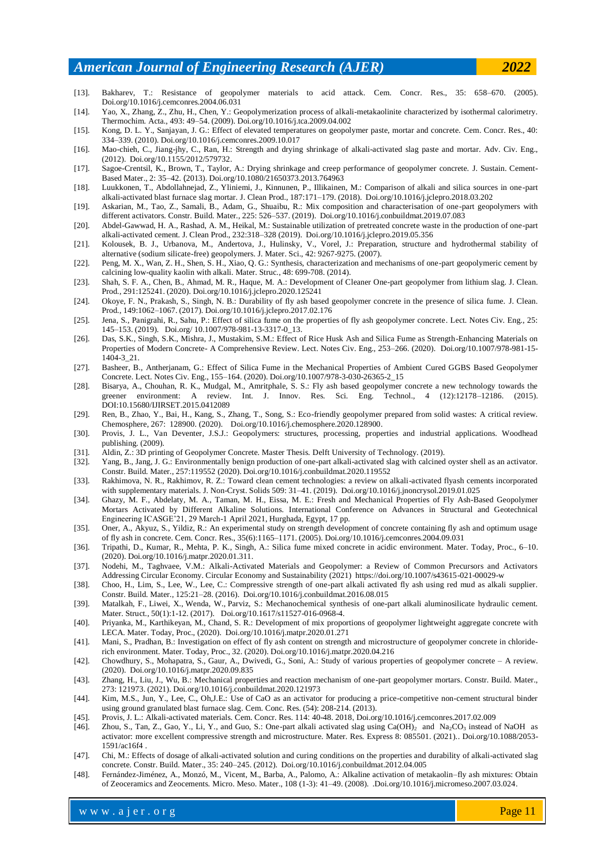- [13]. Bakharev, T.: Resistance of geopolymer materials to acid attack. Cem. Concr. Res., 35: 658–670. (2005). [Doi.org/10.1016/j.cemconres.2004.06.031](https://doi.org/10.1016/j.cemconres.2004.06.031)
- [14]. Yao, X., Zhang, Z., Zhu, H., Chen, Y.: Geopolymerization process of alkali-metakaolinite characterized by isothermal calorimetry. Thermochim. Acta., 493: 49–54. (2009)[. Doi.org/10.1016/j.tca.2009.04.002](https://doi.org/10.1016/j.tca.2009.04.002)
- [15]. Kong, D. L. Y., Sanjayan, J. G.: Effect of elevated temperatures on geopolymer paste, mortar and concrete. Cem. Concr. Res., 40: 334–339. (2010). [Doi.org/10.1016/j.cemconres.2009.10.017](https://doi.org/10.1016/j.cemconres.2009.10.017)
- [16]. Mao-chieh, C., Jiang-jhy, C., Ran, H.: Strength and drying shrinkage of alkali-activated slag paste and mortar. Adv. Civ. Eng., (2012). Doi.org/10.1155/2012/579732.
- [17]. Sagoe-Crentsil, K., Brown, T., Taylor, A.: Drying shrinkage and creep performance of geopolymer concrete. J. Sustain. Cement-Based Mater., 2: 35–42. (2013)[. Doi.org/10.1080/21650373.2013.764963](https://doi.org/10.1080/21650373.2013.764963)
- [18]. Luukkonen, T., Abdollahnejad, Z., Yliniemi, J., Kinnunen, P., Illikainen, M.: Comparison of alkali and silica sources in one-part alkali-activated blast furnace slag mortar. J. Clean Prod., 187:171–179. (2018). [Doi.org/10.1016/j.jclepro.2018.03.202](https://doi.org/10.1016/j.jclepro.2018.03.202)
- [19]. Askarian, M., Tao, Z., Samali, B., Adam, G., Shuaibu, R.: Mix composition and characterisation of one-part geopolymers with different activators. Constr. Build. Mater., 225: 526–537. (2019). [Doi.org/10.1016/j.conbuildmat.2019.07.083](https://doi.org/10.1016/j.conbuildmat.2019.07.083)
- [20]. Abdel-Gawwad, H. A., Rashad, A. M., Heikal, M.: Sustainable utilization of pretreated concrete waste in the production of one-part alkali-activated cement. J. Clean Prod., 232:318–328 (2019). [Doi.org/10.1016/j.jclepro.2019.05.356](https://doi.org/10.1016/j.jclepro.2019.05.356)
- [21]. Kolousek, B. J., Urbanova, M., Andertova, J., Hulinsky, V., Vorel, J.: Preparation, structure and hydrothermal stability of alternative (sodium silicate-free) geopolymers. J. Mater. Sci., 42: 9267-9275. (2007).
- [22]. Peng, M. X., Wan, Z. H., Shen, S. H., Xiao, Q. G.: Synthesis, characterization and mechanisms of one-part geopolymeric cement by calcining low-quality kaolin with alkali. Mater. Struc., 48: 699-708. (2014).
- [23]. Shah, S. F. A., Chen, B., Ahmad, M. R., Haque, M. A.: Development of Cleaner One-part geopolymer from lithium slag. J. Clean. Prod., 291:125241. (2020)[. Doi.org/10.1016/j.jclepro.2020.125241](https://doi.org/10.1016/j.jclepro.2020.125241)
- [24]. Okoye, F. N., Prakash, S., Singh, N. B.: Durability of fly ash based geopolymer concrete in the presence of silica fume. J. Clean. Prod., 149:1062–1067. (2017). [Doi.org/10.1016/j.jclepro.2017.02.176](https://doi.org/10.1016/j.jclepro.2017.02.176)
- [25]. Jena, S., Panigrahi, R., Sahu, P.: Effect of silica fume on the properties of fly ash geopolymer concrete. Lect. Notes Civ. Eng., 25: 145–153. (2019). Doi.org/ 10.1007/978-981-13-3317-0\_13.
- [26]. Das, S.K., Singh, S.K., Mishra, J., Mustakim, S.M.: Effect of Rice Husk Ash and Silica Fume as Strength-Enhancing Materials on Properties of Modern Concrete- A Comprehensive Review. Lect. Notes Civ. Eng., 253–266. (2020). [Doi.org/10.1007/978-981-15-](https://doi.org/10.1007/978-981-15-1404-3_21) [1404-3\\_21.](https://doi.org/10.1007/978-981-15-1404-3_21)
- [27]. Basheer, B., Antherjanam, G.: Effect of Silica Fume in the Mechanical Properties of Ambient Cured GGBS Based Geopolymer Concrete. Lect. Notes Civ. Eng., 155–164. (2020). [Doi.org/10.1007/978-3-030-26365-2\\_15](https://doi.org/10.1007/978-3-030-26365-2_15)
- [28]. Bisarya, A., Chouhan, R. K., Mudgal, M., Amritphale, S. S.: Fly ash based geopolymer concrete a new technology towards the greener environment: A review. Int. J. Innov. Res. Sci. Eng. Technol., 4 (12):12178–12186. (2015). DOI:10.15680/IJIRSET.2015.0412089
- [29]. Ren, B., Zhao, Y., Bai, H., Kang, S., Zhang, T., Song, S.: Eco-friendly geopolymer prepared from solid wastes: A critical review. Chemosphere, 267: 128900. (2020). [Doi.org/10.1016/j.chemosphere.2020.128900.](https://doi.org/10.1016/j.chemosphere.2020.128900)
- [30]. Provis, J. L., Van Deventer, J.S.J.: Geopolymers: structures, processing, properties and industrial applications. Woodhead publishing. (2009).
- [31]. Aldin, Z.: 3D printing of Geopolymer Concrete. Master Thesis. Delft University of Technology. (2019).
- [32]. Yang, B., Jang, J. G.: Environmentally benign production of one-part alkali-activated slag with calcined oyster shell as an activator. Constr. Build. Mater., 257:119552 (2020). [Doi.org/10.1016/j.conbuildmat.2020.119552](https://doi.org/10.1016/j.conbuildmat.2020.119552)
- [33]. Rakhimova, N. R., Rakhimov, R. Z.: Toward clean cement technologies: a review on alkali-activated flyash cements incorporated with supplementary materials. J. Non-Cryst. Solids 509: 31–41. (2019). [Doi.org/10.1016/j.jnoncrysol.2019.01.025](https://doi.org/10.1016/j.jnoncrysol.2019.01.025)
- [34]. Ghazy, M. F., Abdelaty, M. A., Taman, M. H., Eissa, M. E.: Fresh and Mechanical Properties of Fly Ash-Based Geopolymer Mortars Activated by Different Alkaline Solutions. International Conference on Advances in Structural and Geotechnical Engineering ICASGE'21, 29 March-1 April 2021, Hurghada, Egypt, 17 pp.
- [35]. Oner, A., Akyuz, S., Yildiz, R.: An experimental study on strength development of concrete containing fly ash and optimum usage of fly ash in concrete. Cem. Concr. Res., 35(6):1165–1171. (2005). [Doi.org/10.1016/j.cemconres.2004.09.031](https://doi.org/10.1016/j.cemconres.2004.09.031)
- [36]. Tripathi, D., Kumar, R., Mehta, P. K., Singh, A.: Silica fume mixed concrete in acidic environment. Mater. Today, Proc., 6–10. (2020). Doi.org/10.1016/j.matpr.2020.01.311.
- [37]. Nodehi, M., Taghvaee, V.M.: Alkali-Activated Materials and Geopolymer: a Review of Common Precursors and Activators Addressing Circular Economy. Circular Economy and Sustainability (2021) https://doi.org/10.1007/s43615-021-00029-w
- [38]. Choo, H., Lim, S., Lee, W., Lee, C.: Compressive strength of one-part alkali activated fly ash using red mud as alkali supplier. Constr. Build. Mater., 125:21–28. (2016). [Doi.org/10.1016/j.conbuildmat.2016.08.015](https://doi.org/10.1016/j.conbuildmat.2016.08.015)
- [39]. Matalkah, F., [Liwei,](https://www.proquest.com/indexinglinkhandler/sng/au/Xu,+Liwei/$N;jsessionid=0A9155B2F55C2AF9594B1AD11BAA08B4.i-0c4aedbd9415644eb) X., [Wenda,](https://www.proquest.com/indexinglinkhandler/sng/au/Wu,+Wenda/$N;jsessionid=0A9155B2F55C2AF9594B1AD11BAA08B4.i-0c4aedbd9415644eb) W., [Parviz,](https://www.proquest.com/indexinglinkhandler/sng/au/Soroushian,+Parviz/$N;jsessionid=0A9155B2F55C2AF9594B1AD11BAA08B4.i-0c4aedbd9415644eb) S.: Mechanochemical synthesis of one-part alkali aluminosilicate hydraulic cement. Mater. Struct., 50(1):1-12. (2017). Doi.org/10.1617/s11527-016-0968-4.
- [40]. Priyanka, M., Karthikeyan, M., Chand, S. R.: Development of mix proportions of geopolymer lightweight aggregate concrete with LECA. Mater. Today, Proc., (2020). [Doi.org/10.1016/j.matpr.2020.01.271](https://doi.org/10.1016/j.matpr.2020.01.271)
- [41]. Mani, S., Pradhan, B.: Investigation on effect of fly ash content on strength and microstructure of geopolymer concrete in chloriderich environment. Mater. Today, Proc., 32. (2020). [Doi.org/10.1016/j.matpr.2020.04.216](https://doi.org/10.1016/j.matpr.2020.04.216)
- [42]. Chowdhury, S., Mohapatra, S., Gaur, A., Dwivedi, G., Soni, A.: Study of various properties of geopolymer concrete A review. (2020). Doi.org/10.1016/j.matpr.2020.09.835
- [43]. Zhang, H., Liu, J., Wu, B.: Mechanical properties and reaction mechanism of one-part geopolymer mortars. Constr. Build. Mater., 273: 121973. (2021). [Doi.org/10.1016/j.conbuildmat.2020.121973](https://doi.org/10.1016/j.conbuildmat.2020.121973)
- [44]. [Kim,](https://www.sciencedirect.com/science/article/abs/pii/S000888461300197X#!) M.S., [Jun,](https://www.sciencedirect.com/science/article/abs/pii/S000888461300197X#!) Y., [Lee,](https://www.sciencedirect.com/science/article/abs/pii/S000888461300197X#!) C., [Oh,J](https://www.sciencedirect.com/science/article/abs/pii/S000888461300197X#!).E.: Use of CaO as an activator for producing a price-competitive non-cement structural binder using ground granulated blast furnace slag. [Cem. Conc. Res.](https://www.sciencedirect.com/journal/cement-and-concrete-research) [\(54\)](https://www.sciencedirect.com/journal/cement-and-concrete-research/vol/54/suppl/C): 208-214. (2013).
- [45]. Provis, J. L.: Alkali-activated materials. Cem. Concr. Res[. 114](https://www.sciencedirect.com/journal/cement-and-concrete-research/vol/114/suppl/C): 40-48. 2018, [Doi.org/10.1016/j.cemconres.2017.02.009](https://doi.org/10.1016/j.cemconres.2017.02.009)
- [46]. Zhou, S., Tan, Z., Gao, Y., Li, Y., and Guo, S.: One-part alkali activated slag using Ca(OH)<sub>2</sub> and Na<sub>2</sub>CO<sub>3</sub> instead of NaOH as activator: more excellent compressive strength and microstructure. Mater. Res. Express 8: 085501. (2021).[. Doi.org/10.1088/2053-](https://doi.org/10.1088/2053-1591/ac16f4) [1591/ac16f4](https://doi.org/10.1088/2053-1591/ac16f4) .
- [47]. Chi, M.: Effects of dosage of alkali-activated solution and curing conditions on the properties and durability of alkali-activated slag concrete. Constr. Build. Mater., 35: 240–245. (2012). [Doi.org/10.1016/j.conbuildmat.2012.04.005](https://doi.org/10.1016/j.conbuildmat.2012.04.005)
- [48]. Fernández-Jiménez, A., Monzó, M., Vicent, M., Barba, A., Palomo, A.: Alkaline activation of metakaolin–fly ash mixtures: Obtain of Zeoceramics and Zeocements. Micro. Meso. Mater., 108 (1-3): 41–49. (2008). [.Doi.org/10.1016/j.micromeso.2007.03.024.](http://dx.doi.org/10.1016/j.micromeso.2007.03.024)

where  $\mathcal{L} = \mathcal{L} \left( \mathcal{L} \right)$  is the set of  $\mathcal{L} \left( \mathcal{L} \right)$ 

w w w . a j e r . o r g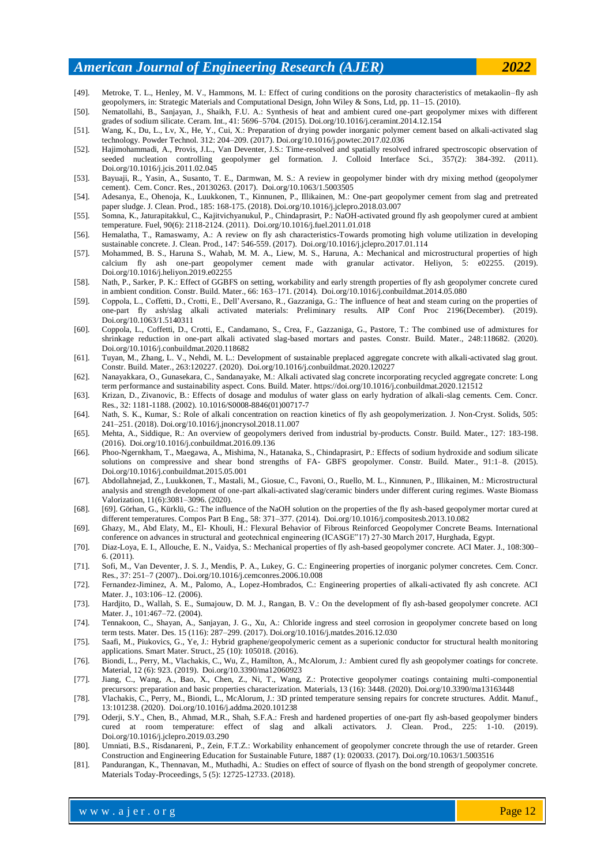- [49]. Metroke, T. L., Henley, M. V., Hammons, M. I.: Effect of curing conditions on the porosity characteristics of metakaolin–fly ash geopolymers, in: Strategic Materials and Computational Design, John Wiley & Sons, Ltd, pp. 11–15. (2010).
- [50]. Nematollahi, B., Sanjayan, J., Shaikh, F.U. A.: Synthesis of heat and ambient cured one-part geopolymer mixes with different grades of sodium silicate. Ceram. Int., 41: 5696–5704. (2015). [Doi.org/10.1016/j.ceramint.2014.12.154](https://doi.org/10.1016/j.ceramint.2014.12.154)
- [51]. Wang, K., Du, L., Lv, X., He, Y., Cui, X.: Preparation of drying powder inorganic polymer cement based on alkali-activated slag technology. Powder Technol. 312: 204–209. (2017)[. Doi.org/10.1016/j.powtec.2017.02.036](https://doi.org/10.1016/j.powtec.2017.02.036)
- [52]. Hajimohammadi, A., Provis, J.L., Van Deventer, J.S.: Time-resolved and spatially resolved infrared spectroscopic observation of seeded nucleation controlling geopolymer gel formation. J. Colloid Interface Sci.,  $357(2)$ :  $384-392$ . (2011). [Doi.org/10.1016/j.jcis.2011.02.045](https://doi.org/10.1016/j.jcis.2011.02.045)
- [53]. Bayuaji, R., Yasin, A., Susanto, T. E., Darmwan, M. S.: A review in geopolymer binder with dry mixing method (geopolymer cement). Cem. Concr. Res., 20130263. (2017). [Doi.org/10.1063/1.5003505](https://doi.org/10.1063/1.5003505)
- [54]. Adesanya, E., Ohenoja, K., Luukkonen, T., Kinnunen, P., Illikainen, M.: One-part geopolymer cement from slag and pretreated paper sludge. J. Clean. Prod., 185: 168-175. (2018). [Doi.org/10.1016/j.jclepro.2018.03.007](https://doi.org/10.1016/j.jclepro.2018.03.007)
- [55]. Somna, K., Jaturapitakkul, C., Kajitvichyanukul, P., Chindaprasirt, P.: NaOH-activated ground fly ash geopolymer cured at ambient temperature. Fuel, 90(6): 2118-2124. (2011). [Doi.org/10.1016/j.fuel.2011.01.018](https://doi.org/10.1016/j.fuel.2011.01.018)
- [56]. Hemalatha, T., Ramaswamy, A.: A review on fly ash characteristics-Towards promoting high volume utilization in developing sustainable concrete. J. Clean. Prod., 147: 546-559. (2017). [Doi.org/10.1016/j.jclepro.2017.01.114](https://doi.org/10.1016/j.jclepro.2017.01.114)
- [57]. Mohammed, B. S., Haruna S., Wahab, M. M. A., Liew, M. S., Haruna, A.: Mechanical and microstructural properties of high calcium fly ash one-part geopolymer cement made with granular activator. Heliyon, 5: e02255. (2019). [Doi.org/10.1016/j.heliyon.2019.e02255](https://doi.org/10.1016/j.heliyon.2019.e02255)
- [58]. Nath, P., Sarker, P. K.: Effect of GGBFS on setting, workability and early strength properties of fly ash geopolymer concrete cured in ambient condition. Constr. Build. Mater., 66: 163–171. (2014). [Doi.org/10.1016/j.conbuildmat.2014.05.080](https://doi.org/10.1016/j.conbuildmat.2014.05.080)
- [59]. Coppola, L., Coffetti, D., Crotti, E., Dell'Aversano, R., Gazzaniga, G.: The influence of heat and steam curing on the properties of one-part fly ash/slag alkali activated materials: Preliminary results. AIP Conf Proc 2196(December). (2019). [Doi.org/10.1063/1.5140311](https://doi.org/10.1063/1.5140311)
- [60]. Coppola, L., Coffetti, D., Crotti, E., Candamano, S., Crea, F., Gazzaniga, G., Pastore, T.: The combined use of admixtures for shrinkage reduction in one-part alkali activated slag-based mortars and pastes. Constr. Build. Mater., 248:118682. (2020). [Doi.org/10.1016/j.conbuildmat.2020.118682](https://doi.org/10.1016/j.conbuildmat.2020.118682)
- [61]. Tuyan, M., Zhang, L. V., Nehdi, M. L.: Development of sustainable preplaced aggregate concrete with alkali-activated slag grout. Constr. Build. Mater., 263:120227. (2020). [Doi.org/10.1016/j.conbuildmat.2020.120227](https://doi.org/10.1016/j.conbuildmat.2020.120227)
- [62]. Nanayakkara, O., Gunasekara, C., Sandanayake, M.: Alkali activated slag concrete incorporating recycled aggregate concrete: Long term performance and sustainability aspect. Cons. Build. Mater. https://doi.org/10.1016/j.conbuildmat.2020.121512
- [63]. Krizan, D., Zivanovic, B.: Effects of dosage and modulus of water glass on early hydration of alkali-slag cements. Cem. Concr. Res., 32: 1181-1188. (2002). [10.1016/S0008-8846\(01\)00717-7](https://doi.org/10.1016/S0008-8846(01)00717-7)
- [64]. Nath, S. K., Kumar, S.: Role of alkali concentration on reaction kinetics of fly ash geopolymerization. J. Non-Cryst. Solids, 505: 241–251. (2018). [Doi.org/10.1016/j.jnoncrysol.2018.11.007](https://doi.org/10.1016/j.jnoncrysol.2018.11.007)
- [65]. Mehta, A., Siddique, R.: An overview of geopolymers derived from industrial by-products. Constr. Build. Mater., 127: 183-198. (2016). [Doi.org/10.1016/j.conbuildmat.2016.09.136](https://doi.org/10.1016/j.conbuildmat.2016.09.136)
- [66]. Phoo-Ngernkham, T., Maegawa, A., Mishima, N., Hatanaka, S., Chindaprasirt, P.: Effects of sodium hydroxide and sodium silicate solutions on compressive and shear bond strengths of FA- GBFS geopolymer. Constr. Build. Mater., 91:1–8. (2015). [Doi.org/10.1016/j.conbuildmat.2015.05.001](https://doi.org/10.1016/j.conbuildmat.2015.05.001)
- [67]. Abdollahnejad, Z., Luukkonen, T., Mastali, M., Giosue, C., Favoni, O., Ruello, M. L., Kinnunen, P., Illikainen, M.: Microstructural analysis and strength development of one-part alkali-activated slag/ceramic binders under different curing regimes. Waste Biomass Valorization, 11(6):3081–3096. (2020).
- [68]. [69]. Görhan, G., Kürklü, G.: The influence of the NaOH solution on the properties of the fly ash-based geopolymer mortar cured at different temperatures. Compos Part B Eng., 58: 371–377. (2014). [Doi.org/10.1016/j.compositesb.2013.10.082](https://doi.org/10.1016/j.compositesb.2013.10.082)
- [69]. Ghazy, M., Abd Elaty, M., El- Khouli, H.: Flexural Behavior of Fibrous Reinforced Geopolymer Concrete Beams. International conference on advances in structural and geotechnical engineering (ICASGE"17) 27-30 March 2017, Hurghada, Egypt.
- [70]. Diaz-Loya, E. I., Allouche, E. N., Vaidya, S.: Mechanical properties of fly ash-based geopolymer concrete. ACI Mater. J., 108:300– 6. (2011).
- [71]. Sofi, M., Van Deventer, J. S. J., Mendis, P. A., Lukey, G. C.: Engineering properties of inorganic polymer concretes. Cem. Concr. Res., 37: 251–7 (2007).. [Doi.org/10.1016/j.cemconres.2006.10.008](https://doi.org/10.1016/j.cemconres.2006.10.008)
- [72]. Fernandez-Jiminez, A. M., Palomo, A., Lopez-Hombrados, C.: Engineering properties of alkali-activated fly ash concrete. ACI Mater. J., 103:106–12. (2006).
- [73]. Hardjito, D., Wallah, S. E., Sumajouw, D. M. J., Rangan, B. V.: On the development of fly ash-based geopolymer concrete. ACI Mater. J., 101:467–72. (2004).
- [74]. Tennakoon, C., Shayan, A., Sanjayan, J. G., Xu, A.: Chloride ingress and steel corrosion in geopolymer concrete based on long term tests. Mater. Des. 15 (116): 287–299. (2017)[. Doi.org/10.1016/j.matdes.2016.12.030](https://doi.org/10.1016/j.matdes.2016.12.030)
- [75]. Saafi, M., Piukovics, G., Ye, J.: Hybrid graphene/geopolymeric cement as a superionic conductor for structural health monitoring applications. Smart Mater. Struct., 25 (10): 105018. (2016).
- [76]. Biondi, L., Perry, M., Vlachakis, C., Wu, Z., Hamilton, A., McAlorum, J.: Ambient cured fly ash geopolymer coatings for concrete. Material, 12 (6): 923. (2019). [Doi.org/10.3390/ma12060923](https://doi.org/10.3390/ma12060923)
- [77]. Jiang, C., Wang, A., Bao, X., Chen, Z., Ni, T., Wang, Z.: Protective geopolymer coatings containing multi-componential precursors: preparation and basic properties characterization. Materials, 13 (16): 3448. (2020). [Doi.org/10.3390/ma13163448](https://doi.org/10.3390/ma13163448)
- [78]. Vlachakis, C., Perry, M., Biondi, L., McAlorum, J.: 3D printed temperature sensing repairs for concrete structures. Addit. Manuf., 13:101238. (2020). [Doi.org/10.1016/j.addma.2020.101238](https://doi.org/10.1016/j.addma.2020.101238)
- [79]. Oderji, S.Y., Chen, B., Ahmad, M.R., Shah, S.F.A.: Fresh and hardened properties of one-part fly ash-based geopolymer binders cured at room temperature: effect of slag and alkali activators. J. Clean. Prod., 225: 1-10. (2019). [Doi.org/10.1016/j.jclepro.2019.03.290](https://doi.org/10.1016/j.jclepro.2019.03.290)
- [80]. Umniati, B.S., Risdanareni, P., Zein, F.T.Z.: Workability enhancement of geopolymer concrete through the use of retarder. Green Construction and Engineering Education for Sustainable Future, 1887 (1): 020033. (2017)[. Doi.org/10.1063/1.5003516](https://doi.org/10.1063/1.5003516)
- [81]. Pandurangan, K., Thennavan, M., Muthadhi, A.: Studies on effect of source of flyash on the bond strength of geopolymer concrete. Materials Today-Proceedings, 5 (5): 12725-12733. (2018).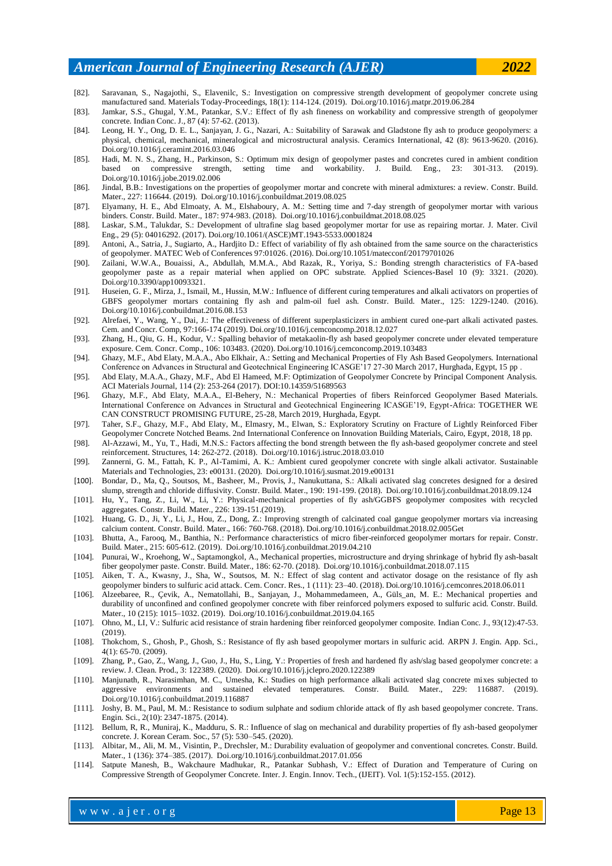- [82]. Saravanan, S., Nagajothi, S., Elavenilc, S.: Investigation on compressive strength development of geopolymer concrete using manufactured sand. Materials Today-Proceedings, 18(1): 114-124. (2019). [Doi.org/10.1016/j.matpr.2019.06.284](https://doi.org/10.1016/j.matpr.2019.06.284)
- [83]. Jamkar, S.S., Ghugal, Y.M., Patankar, S.V.: Effect of fly ash fineness on workability and compressive strength of geopolymer concrete. Indian Conc. J., 87 (4): 57-62. (2013).
- [84]. Leong, H. Y., Ong, D. E. L., Sanjayan, J. G., Nazari, A.: Suitability of Sarawak and Gladstone fly ash to produce geopolymers: a physical, chemical, mechanical, mineralogical and microstructural analysis. Ceramics International, 42 (8): 9613-9620. (2016). [Doi.org/10.1016/j.ceramint.2016.03.046](https://doi.org/10.1016/j.ceramint.2016.03.046)
- [85]. Hadi, M. N. S., Zhang, H., Parkinson, S.: Optimum mix design of geopolymer pastes and concretes cured in ambient condition based on compressive strength, setting time and workability. J. Build. Eng., 23: 301-313. (2019). [Doi.org/10.1016/j.jobe.2019.02.006](https://doi.org/10.1016/j.jobe.2019.02.006)
- [86]. Jindal, B.B.: Investigations on the properties of geopolymer mortar and concrete with mineral admixtures: a review. Constr. Build. Mater., 227: 116644. (2019). [Doi.org/10.1016/j.conbuildmat.2019.08.025](https://doi.org/10.1016/j.conbuildmat.2019.08.025)
- [87]. Elyamany, H. E., Abd Elmoaty, A. M., Elshaboury, A. M.: Setting time and 7-day strength of geopolymer mortar with various binders. Constr. Build. Mater., 187: 974-983. (2018). [Doi.org/10.1016/j.conbuildmat.2018.08.025](https://doi.org/10.1016/j.conbuildmat.2018.08.025)
- [88]. Laskar, S.M., Talukdar, S.: Development of ultrafine slag based geopolymer mortar for use as repairing mortar. J. Mater. Civil Eng., 29 (5): 04016292. (2017). [Doi.org/10.1061/\(ASCE\)MT.1943-5533.0001824](https://doi.org/10.1061/(ASCE)MT.1943-5533.0001824)
- [89]. Antoni, A., Satria, J., Sugiarto, A., Hardjito D.: Effect of variability of fly ash obtained from the same source on the characteristics of geopolymer. MATEC Web of Conferences 97:01026. (2016). [Doi.org/10.1051/matecconf/20179701026](http://dx.doi.org/10.1051/matecconf/20179701026)
- [90]. Zailani, W.W.A., Bouaissi, A., Abdullah, M.M.A., Abd Razak, R., Yoriya, S.: Bonding strength characteristics of FA-based geopolymer paste as a repair material when applied on OPC substrate. Applied Sciences-Basel 10 (9): 3321. (2020). Doi.org/10.3390/app10093321.
- [91]. Huseien, G. F., Mirza, J., Ismail, M., Hussin, M.W.: Influence of different curing temperatures and alkali activators on properties of GBFS geopolymer mortars containing fly ash and palm-oil fuel ash. Constr. Build. Mater., 125: 1229-1240. (2016). [Doi.org/10.1016/j.conbuildmat.2016.08.153](https://doi.org/10.1016/j.conbuildmat.2016.08.153)
- [92]. Alrefaei, Y., Wang, Y., Dai, J.: The effectiveness of different superplasticizers in ambient cured one-part alkali activated pastes. Cem. and Concr. Comp, 97:166-174 (2019). [Doi.org/10.1016/j.cemconcomp.2018.12.027](https://doi.org/10.1016/j.cemconcomp.2018.12.027)
- [93]. Zhang, H., Qiu, G. H., Kodur, V.: Spalling behavior of metakaolin-fly ash based geopolymer concrete under elevated temperature exposure. Cem. Concr. Comp., 106: 103483. (2020). [Doi.org/10.1016/j.cemconcomp.2019.103483](https://doi.org/10.1016/j.cemconcomp.2019.103483)
- [94]. Ghazy, M.F., Abd Elaty, M.A.A., Abo Elkhair, A.: Setting and Mechanical Properties of Fly Ash Based Geopolymers. International Conference on Advances in Structural and Geotechnical Engineering ICASGE'17 27-30 March 2017, Hurghada, Egypt, 15 pp
- [95]. Abd Elaty, M.A.A., Ghazy, M.F., Abd El Hameed, M.F: Optimization of Geopolymer Concrete by Principal Component Analysis. ACI Materials Journal, 114 (2): 253-264 (2017). DOI:10.14359/51689563
- [96]. Ghazy, M.F., Abd Elaty, M.A.A., El-Behery, N.: Mechanical Properties of fibers Reinforced Geopolymer Based Materials. International Conference on Advances in Structural and Geotechnical Engineering ICASGE'19, Egypt-Africa: TOGETHER WE CAN CONSTRUCT PROMISING FUTURE, 25-28, March 2019, Hurghada, Egypt.
- [97]. Taher, S.F., Ghazy, M.F., Abd Elaty, M., Elmasry, M., Elwan, S.: Exploratory Scrutiny on Fracture of Lightly Reinforced Fiber Geopolymer Concrete Notched Beams. 2nd International Conference on Innovation Building Materials, Cairo, Egypt, 2018, 18 pp.
- [98]. Al-Azzawi, M., Yu, T., Hadi, M.N.S.: Factors affecting the bond strength between the fly ash-based geopolymer concrete and steel reinforcement. Structures, 14: 262-272. (2018). [Doi.org/10.1016/j.istruc.2018.03.010](https://doi.org/10.1016/j.istruc.2018.03.010)
- [99]. Zannerni, G. M., Fattah, K. P., Al-Tamimi, A. K.: Ambient cured geopolymer concrete with single alkali activator. Sustainable Materials and Technologies, 23: e00131. (2020). [Doi.org/10.1016/j.susmat.2019.e00131](https://doi.org/10.1016/j.susmat.2019.e00131)
- [100]. Bondar, D., Ma, Q., Soutsos, M., Basheer, M., Provis, J., Nanukuttana, S.: Alkali activated slag concretes designed for a desired slump, strength and chloride diffusivity. Constr. Build. Mater., 190: 191-199. (2018). [Doi.org/10.1016/j.conbuildmat.2018.09.124](https://doi.org/10.1016/j.conbuildmat.2018.09.124)
- [101]. Hu, Y., Tang, Z., Li, W., Li, Y.: Physical-mechanical properties of fly ash/GGBFS geopolymer composites with recycled aggregates. Constr. Build. Mater., 226: 139-151.(2019).
- [102]. Huang, G. D., Ji, Y., Li, J., Hou, Z., Dong, Z.: Improving strength of calcinated coal gangue geopolymer mortars via increasing calcium content. Constr. Build. Mater., 166: 760-768. (2018)[. Doi.org/10.1016/j.conbuildmat.2018.02.005Get](https://doi.org/10.1016/j.conbuildmat.2018.02.005)
- [103]. Bhutta, A., Farooq, M., Banthia, N.: Performance characteristics of micro fiber-reinforced geopolymer mortars for repair. Constr. Build. Mater., 215: 605-612. (2019). [Doi.org/10.1016/j.conbuildmat.2019.04.210](https://doi.org/10.1016/j.conbuildmat.2019.04.210)
- [104]. Punurai, W., Kroehong, W., Saptamongkol, A., Mechanical properties, microstructure and drying shrinkage of hybrid fly ash-basalt fiber geopolymer paste. Constr. Build. Mater., 186: 62-70. (2018). [Doi.org/10.1016/j.conbuildmat.2018.07.115](https://doi.org/10.1016/j.conbuildmat.2018.07.115)
- [105]. Aiken, T. A., Kwasny, J., Sha, W., Soutsos, M. N.: Effect of slag content and activator dosage on the resistance of fly ash geopolymer binders to sulfuric acid attack. Cem. Concr. Res., 1 (111): 23–40. (2018). [Doi.org/10.1016/j.cemconres.2018.06.011](https://doi.org/10.1016/j.cemconres.2018.06.011)
- [106]. Alzeebaree, R., Çevik, A., Nematollahi, B., Sanjayan, J., Mohammedameen, A., Güls\_an, M. E.: Mechanical properties and durability of unconfined and confined geopolymer concrete with fiber reinforced polymers exposed to sulfuric acid. Constr. Build. Mater., 10 (215): 1015–1032. (2019). [Doi.org/10.1016/j.conbuildmat.2019.04.165](https://doi.org/10.1016/j.conbuildmat.2019.04.165)
- [107]. Ohno, M., LI, V.: Sulfuric acid resistance of strain hardening fiber reinforced geopolymer composite. Indian Conc. J., 93(12):47-53. (2019).
- [108]. Thokchom, S., Ghosh, P., Ghosh, S.: Resistance of fly ash based geopolymer mortars in sulfuric acid. ARPN J. Engin. App. Sci., 4(1): 65-70. (2009).
- [109]. Zhang, P., Gao, Z., Wang, J., Guo, J., Hu, S., Ling, Y.: Properties of fresh and hardened fly ash/slag based geopolymer concr ete: a review. J. Clean. Prod., 3: 122389. (2020). [Doi.org/10.1016/j.jclepro.2020.122389](https://doi.org/10.1016/j.jclepro.2020.122389)
- [110]. Manjunath, R., Narasimhan, M. C., Umesha, K.: Studies on high performance alkali activated slag concrete mixes subjected to aggressive environments and sustained elevated temperatures. Constr. Build. Mater., 229: 116887. (2019). [Doi.org/10.1016/j.conbuildmat.2019.116887](https://doi.org/10.1016/j.conbuildmat.2019.116887)
- [111]. Joshy, B. M., Paul, M. M.: Resistance to sodium sulphate and sodium chloride attack of fly ash based geopolymer concrete. Trans. Engin. Sci., 2(10): 2347-1875. (2014).
- [112]. Bellum, R, R., Muniraj, K., Madduru, S. R.: Influence of slag on mechanical and durability properties of fly ash-based geopolymer concrete. J. Korean Ceram. Soc., 57 (5): 530–545. (2020).
- [113]. Albitar, M., Ali, M. M., Visintin, P., Drechsler, M.: Durability evaluation of geopolymer and conventional concretes. Constr. Build. Mater., 1 (136): 374–385. (2017). [Doi.org/10.1016/j.conbuildmat.2017.01.056](https://doi.org/10.1016/j.conbuildmat.2017.01.056)
- [114]. Satpute Manesh, B., Wakchaure Madhukar, R., Patankar Subhash, V.: Effect of Duration and Temperature of Curing on Compressive Strength of Geopolymer Concrete. Inter. J. Engin. Innov. Tech., (IJEIT). Vol. 1(5):152-155. (2012).